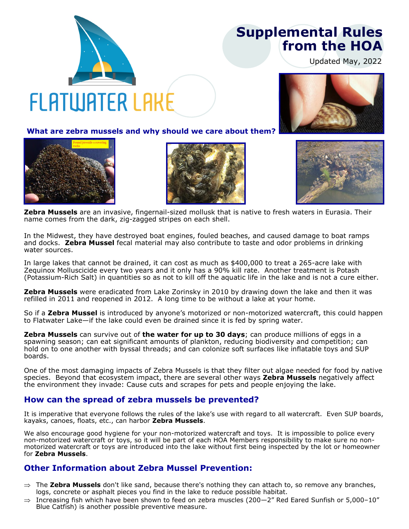## **Supplemental Rules from the HOA**

Updated May, 2022

# **FLATWATER LAKE**

**What are zebra mussels and why should we care about them?**







**Zebra Mussels** are an invasive, fingernail-sized mollusk that is native to fresh waters in Eurasia. Their name comes from the dark, zig-zagged stripes on each shell.

In the Midwest, they have destroyed boat engines, fouled beaches, and caused damage to boat ramps and docks. **Zebra Mussel** fecal material may also contribute to taste and odor problems in drinking water sources.

In large lakes that cannot be drained, it can cost as much as \$400,000 to treat a 265-acre lake with Zequinox Molluscicide every two years and it only has a 90% kill rate. Another treatment is Potash (Potassium-Rich Salt) in quantities so as not to kill off the aquatic life in the lake and is not a cure either.

**Zebra Mussels** were eradicated from Lake Zorinsky in 2010 by drawing down the lake and then it was refilled in 2011 and reopened in 2012. A long time to be without a lake at your home.

So if a **Zebra Mussel** is introduced by anyone's motorized or non-motorized watercraft, this could happen to Flatwater Lake—if the lake could even be drained since it is fed by spring water.

**Zebra Mussels** can survive out of **the water for up to 30 days**; can produce millions of eggs in a spawning season; can eat significant amounts of plankton, reducing biodiversity and competition; can hold on to one another with byssal threads; and can colonize soft surfaces like inflatable toys and SUP boards.

One of the most damaging impacts of Zebra Mussels is that they filter out algae needed for food by native species. Beyond that ecosystem impact, there are several other ways **Zebra Mussels** negatively affect the environment they invade: Cause cuts and scrapes for pets and people enjoying the lake.

#### **How can the spread of zebra mussels be prevented?**

It is imperative that everyone follows the rules of the lake's use with regard to all watercraft. Even SUP boards, kayaks, canoes, floats, etc., can harbor **Zebra Mussels**.

We also encourage good hygiene for your non-motorized watercraft and toys. It is impossible to police every non-motorized watercraft or toys, so it will be part of each HOA Members responsibility to make sure no nonmotorized watercraft or toys are introduced into the lake without first being inspected by the lot or homeowner for **Zebra Mussels**.

#### **Other Information about Zebra Mussel Prevention:**

- The **Zebra Mussels** don't like sand, because there's nothing they can attach to, so remove any branches, logs, concrete or asphalt pieces you find in the lake to reduce possible habitat.
- $\Rightarrow$  Increasing fish which have been shown to feed on zebra muscles (200-2" Red Eared Sunfish or 5,000-10" Blue Catfish) is another possible preventive measure.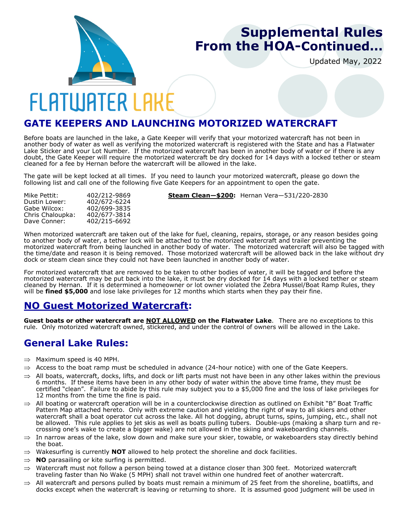

## **Supplemental Rules From the HOA-Continued...**

Updated May, 2022

# **FLATWATER LAKE**

#### **GATE KEEPERS AND LAUNCHING MOTORIZED WATERCRAFT**

Before boats are launched in the lake, a Gate Keeper will verify that your motorized watercraft has not been in another body of water as well as verifying the motorized watercraft is registered with the State and has a Flatwater Lake Sticker and your Lot Number. If the motorized watercraft has been in another body of water or if there is any doubt, the Gate Keeper will require the motorized watercraft be dry docked for 14 days with a locked tether or steam cleaned for a fee by Hernan before the watercraft will be allowed in the lake.

The gate will be kept locked at all times. If you need to launch your motorized watercraft, please go down the following list and call one of the following five Gate Keepers for an appointment to open the gate.

Dustin Lower: 402/672-6224 402/699-3835<br>402/677-3814 Chris Chaloupka:<br>Dave Conner: Dave Conner: 402/215-6692

Mike Pettit: 402/212-9869 **Steam Clean—\$200:** Hernan Vera—531/220-2830

When motorized watercraft are taken out of the lake for fuel, cleaning, repairs, storage, or any reason besides going to another body of water, a tether lock will be attached to the motorized watercraft and trailer preventing the motorized watercraft from being launched in another body of water. The motorized watercraft will also be tagged with the time/date and reason it is being removed. Those motorized watercraft will be allowed back in the lake without dry dock or steam clean since they could not have been launched in another body of water.

For motorized watercraft that are removed to be taken to other bodies of water, it will be tagged and before the motorized watercraft may be put back into the lake, it must be dry docked for 14 days with a locked tether or steam cleaned by Hernan. If it is determined a homeowner or lot owner violated the Zebra Mussel/Boat Ramp Rules, they will be **fined \$5,000** and lose lake privileges for 12 months which starts when they pay their fine.

### **NO Guest Motorized Watercraft:**

**Guest boats or other watercraft are NOT ALLOWED on the Flatwater Lake**. There are no exceptions to this rule. Only motorized watercraft owned, stickered, and under the control of owners will be allowed in the Lake.

#### **General Lake Rules:**

- $\Rightarrow$  Maximum speed is 40 MPH.
- $\Rightarrow$  Access to the boat ramp must be scheduled in advance (24-hour notice) with one of the Gate Keepers.
- $\Rightarrow$  All boats, watercraft, docks, lifts, and dock or lift parts must not have been in any other lakes within the previous 6 months. If these items have been in any other body of water within the above time frame, they must be certified "clean". Failure to abide by this rule may subject you to a \$5,000 fine and the loss of lake privileges for 12 months from the time the fine is paid.
- $\Rightarrow$  All boating or watercraft operation will be in a counterclockwise direction as outlined on Exhibit "B" Boat Traffic Pattern Map attached hereto. Only with extreme caution and yielding the right of way to all skiers and other watercraft shall a boat operator cut across the lake. All hot dogging, abrupt turns, spins, jumping, etc., shall not be allowed. This rule applies to jet skis as well as boats pulling tubers. Double-ups (making a sharp turn and recrossing one's wake to create a bigger wake) are not allowed in the skiing and wakeboarding channels.
- $\Rightarrow$  In narrow areas of the lake, slow down and make sure your skier, towable, or wakeboarders stay directly behind the boat.
- $\Rightarrow$  Wakesurfing is currently **NOT** allowed to help protect the shoreline and dock facilities.
- $\Rightarrow$  **NO** parasailing or kite surfing is permitted.
- Watercraft must not follow a person being towed at a distance closer than 300 feet. Motorized watercraft traveling faster than No Wake (5 MPH) shall not travel within one hundred feet of another watercraft.
- All watercraft and persons pulled by boats must remain a minimum of 25 feet from the shoreline, boatlifts, and docks except when the watercraft is leaving or returning to shore. It is assumed good judgment will be used in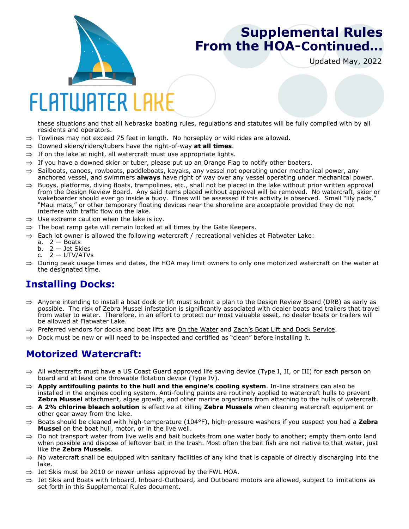

## **Supplemental Rules From the HOA-Continued...**

Updated May, 2022

# FI ATIUATER I AK

these situations and that all Nebraska boating rules, regulations and statutes will be fully complied with by all residents and operators.

- $\Rightarrow$  Towlines may not exceed 75 feet in length. No horseplay or wild rides are allowed.
- Downed skiers/riders/tubers have the right-of-way **at all times**.
- $\Rightarrow$  If on the lake at night, all watercraft must use appropriate lights.
- $\Rightarrow$  If you have a downed skier or tuber, please put up an Orange Flag to notify other boaters.
- $\Rightarrow$  Sailboats, canoes, rowboats, paddleboats, kayaks, any vessel not operating under mechanical power, any anchored vessel, and swimmers **always** have right of way over any vessel operating under mechanical power.
- $\Rightarrow$  Buoys, platforms, diving floats, trampolines, etc., shall not be placed in the lake without prior written approval from the Design Review Board. Any said items placed without approval will be removed. No watercraft, skier or wakeboarder should ever go inside a buoy. Fines will be assessed if this activity is observed. Small "lily pads, "Maui mats," or other temporary floating devices near the shoreline are acceptable provided they do not interfere with traffic flow on the lake.
- $\Rightarrow$  Use extreme caution when the lake is icy.
- $\Rightarrow$  The boat ramp gate will remain locked at all times by the Gate Keepers.
- Each lot owner is allowed the following watercraft / recreational vehicles at Flatwater Lake:
	- a.  $2 -$  Boats
	- b.  $2 -$  Jet Skies
	- c. 2 UTV/ATVs
- $\Rightarrow$  During peak usage times and dates, the HOA may limit owners to only one motorized watercraft on the water at the designated time.

### **Installing Docks:**

- $\Rightarrow$  Anyone intending to install a boat dock or lift must submit a plan to the Design Review Board (DRB) as early as possible. The risk of Zebra Mussel infestation is significantly associated with dealer boats and trailers that travel from water to water. Therefore, in an effort to protect our most valuable asset, no dealer boats or trailers will be allowed at Flatwater Lake.
- $\Rightarrow$  Preferred vendors for docks and boat lifts are On the Water and Zach's Boat Lift and Dock Service.
- $\Rightarrow$  Dock must be new or will need to be inspected and certified as "clean" before installing it.

### **Motorized Watercraft:**

- All watercrafts must have a US Coast Guard approved life saving device (Type I, II, or III) for each person on board and at least one throwable flotation device (Type IV).
- **Apply antifouling paints to the hull and the engine's cooling system**. In-line strainers can also be installed in the engines cooling system. Anti-fouling paints are routinely applied to watercraft hulls to prevent **Zebra Mussel** attachment, algae growth, and other marine organisms from attaching to the hulls of watercraft.
- **A 2% chlorine bleach solution** is effective at killing **Zebra Mussels** when cleaning watercraft equipment or other gear away from the lake.
- Boats should be cleaned with high-temperature (104°F), high-pressure washers if you suspect you had a **Zebra Mussel** on the boat hull, motor, or in the live well.
- $\Rightarrow$  Do not transport water from live wells and bait buckets from one water body to another; empty them onto land when possible and dispose of leftover bait in the trash. Most often the bait fish are not native to that water, just like the **Zebra Mussels**.
- $\Rightarrow$  No watercraft shall be equipped with sanitary facilities of any kind that is capable of directly discharging into the lake.
- $\Rightarrow$  Jet Skis must be 2010 or newer unless approved by the FWL HOA.
- $\Rightarrow$  Jet Skis and Boats with Inboard, Inboard-Outboard, and Outboard motors are allowed, subject to limitations as set forth in this Supplemental Rules document.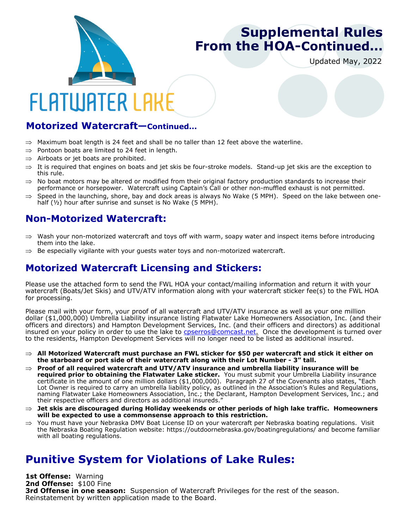

## **Supplemental Rules From the HOA-Continued...**

Updated May, 2022

# **FLATWATER LAK**

#### **Motorized Watercraft—Continued...**

- $\Rightarrow$  Maximum boat length is 24 feet and shall be no taller than 12 feet above the waterline.
- $\Rightarrow$  Pontoon boats are limited to 24 feet in length.
- $\Rightarrow$  Airboats or jet boats are prohibited.
- $\Rightarrow$  It is required that engines on boats and jet skis be four-stroke models. Stand-up jet skis are the exception to this rule.
- $\Rightarrow$  No boat motors may be altered or modified from their original factory production standards to increase their performance or horsepower. Watercraft using Captain's Call or other non-muffled exhaust is not permitted.
- Speed in the launching, shore, bay and dock areas is always No Wake (5 MPH). Speed on the lake between onehalf (½) hour after sunrise and sunset is No Wake (5 MPH).

#### **Non-Motorized Watercraft:**

- Wash your non-motorized watercraft and toys off with warm, soapy water and inspect items before introducing them into the lake.
- $\Rightarrow$  Be especially vigilante with your guests water toys and non-motorized watercraft.

### **Motorized Watercraft Licensing and Stickers:**

Please use the attached form to send the FWL HOA your contact/mailing information and return it with your watercraft (Boats/Jet Skis) and UTV/ATV information along with your watercraft sticker fee(s) to the FWL HOA for processing.

Please mail with your form, your proof of all watercraft and UTV/ATV insurance as well as your one million dollar (\$1,000,000) Umbrella Liability insurance listing Flatwater Lake Homeowners Association, Inc. (and their officers and directors) and Hampton Development Services, Inc. (and their officers and directors) as additional insured on your policy in order to use the lake to cpserros@comcast.net. Once the development is turned over to the residents, Hampton Development Services will no longer need to be listed as additional insured.

- **All Motorized Watercraft must purchase an FWL sticker for \$50 per watercraft and stick it either on the starboard or port side of their watercraft along with their Lot Number - 3" tall.**
- $\Rightarrow$  Proof of all required watercraft and UTV/ATV insurance and umbrella liability insurance will be **required prior to obtaining the Flatwater Lake sticker.** You must submit your Umbrella Liability insurance certificate in the amount of one million dollars (\$1,000,000). Paragraph 27 of the Covenants also states, "Each Lot Owner is required to carry an umbrella liability policy, as outlined in the Association's Rules and Regulations, naming Flatwater Lake Homeowners Association, Inc.; the Declarant, Hampton Development Services, Inc.; and their respective officers and directors as additional insureds."
- **Jet skis are discouraged during Holiday weekends or other periods of high lake traffic. Homeowners will be expected to use a commonsense approach to this restriction.**
- $\Rightarrow$  You must have your Nebraska DMV Boat License ID on your watercraft per Nebraska boating regulations. Visit the Nebraska Boating Regulation website: https://outdoornebraska.gov/boatingregulations/ and become familiar with all boating regulations.

### **Punitive System for Violations of Lake Rules:**

**1st Offense:** Warning **2nd Offense:** \$100 Fine **3rd Offense in one season:** Suspension of Watercraft Privileges for the rest of the season. Reinstatement by written application made to the Board.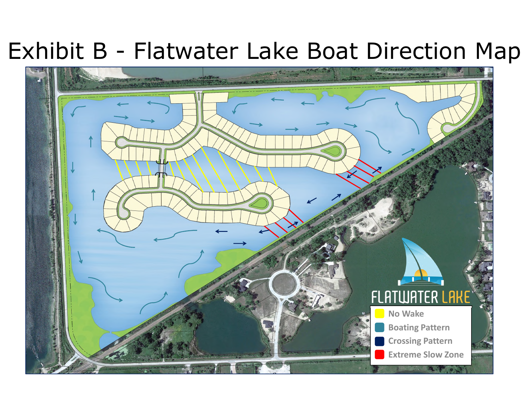# Exhibit B - Flatwater Lake Boat Direction Map